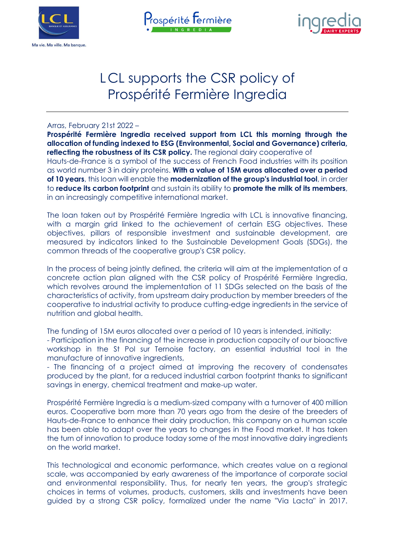





# LCL supports the CSR policy of Prospérité Fermière Ingredia

Arras, February 21st 2022 –

**Prospérité Fermière Ingredia received support from LCL this morning through the allocation of funding indexed to ESG (Environmental, Social and Governance) criteria, reflecting the robustness of its CSR policy.** The regional dairy cooperative of Hauts-de-France is a symbol of the success of French Food industries with its position as world number 3 in dairy proteins. **With a value of 15M euros allocated over a period of 10 years**, this loan will enable the **modernization of the group's industrial tool**, in order to **reduce its carbon footprint** and sustain its ability to **promote the milk of its members**, in an increasingly competitive international market.

The loan taken out by Prospérité Fermière Ingredia with LCL is innovative financing, with a margin grid linked to the achievement of certain ESG objectives. These objectives, pillars of responsible investment and sustainable development, are measured by indicators linked to the Sustainable Development Goals (SDGs), the common threads of the cooperative group's CSR policy.

In the process of being jointly defined, the criteria will aim at the implementation of a concrete action plan aligned with the CSR policy of Prospérité Fermière Ingredia, which revolves around the implementation of 11 SDGs selected on the basis of the characteristics of activity, from upstream dairy production by member breeders of the cooperative to industrial activity to produce cutting-edge ingredients in the service of nutrition and global health.

The funding of 15M euros allocated over a period of 10 years is intended, initially: - Participation in the financing of the increase in production capacity of our bioactive workshop in the St Pol sur Ternoise factory, an essential industrial tool in the manufacture of innovative ingredients,

- The financing of a project aimed at improving the recovery of condensates produced by the plant, for a reduced industrial carbon footprint thanks to significant savings in energy, chemical treatment and make-up water.

Prospérité Fermière Ingredia is a medium-sized company with a turnover of 400 million euros. Cooperative born more than 70 years ago from the desire of the breeders of Hauts-de-France to enhance their dairy production, this company on a human scale has been able to adapt over the years to changes in the Food market. It has taken the turn of innovation to produce today some of the most innovative dairy ingredients on the world market.

This technological and economic performance, which creates value on a regional scale, was accompanied by early awareness of the importance of corporate social and environmental responsibility. Thus, for nearly ten years, the group's strategic choices in terms of volumes, products, customers, skills and investments have been guided by a strong CSR policy, formalized under the name "Via Lacta" in 2017.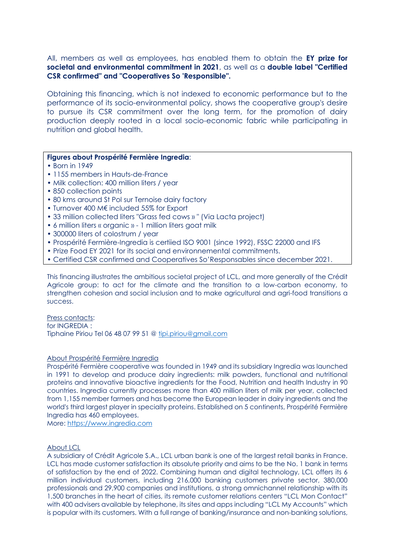All, members as well as employees, has enabled them to obtain the **EY prize for societal and environmental commitment in 2021**, as well as a **double label "Certified CSR confirmed" and "Cooperatives So 'Responsible".**

Obtaining this financing, which is not indexed to economic performance but to the performance of its socio-environmental policy, shows the cooperative group's desire to pursue its CSR commitment over the long term, for the promotion of dairy production deeply rooted in a local socio-economic fabric while participating in nutrition and global health.

## **Figures about Prospérité Fermière Ingredia**:

- Born in 1949
- 1155 members in Hauts-de-France
- Milk collection: 400 million liters / year
- 850 collection points
- 80 kms around St Pol sur Ternoise dairy factory
- Turnover 400 M€ included 55% for Export
- 33 million collected liters "Grass fed cows » " (Via Lacta project)
- 6 million liters « organic » 1 million liters goat milk
- 300000 liters of colostrum / year
- Prospérité Fermière-Ingredia is certiied ISO 9001 (since 1992), FSSC 22000 and IFS
- Prize Food EY 2021 for its social and environnemental commitments.
- Certified CSR confirmed and Cooperatives So'Responsables since december 2021.

This financing illustrates the ambitious societal project of LCL, and more generally of the Crédit Agricole group: to act for the climate and the transition to a low-carbon economy, to strengthen cohesion and social inclusion and to make agricultural and agri-food transitions a success.

### Press contacts:

for INGREDIA : Tiphaine Piriou Tel 06 48 07 99 51 @ [tipi.piriou@gmail.com](mailto:tipi.piriou@gmail.com)

## About Prospérité Fermière Ingredia

Prospérité Fermière cooperative was founded in 1949 and its subsidiary Ingredia was launched in 1991 to develop and produce dairy ingredients: milk powders, functional and nutritional proteins and innovative bioactive ingredients for the Food, Nutrition and health Industry in 90 countries. Ingredia currently processes more than 400 million liters of milk per year, collected from 1,155 member farmers and has become the European leader in dairy ingredients and the world's third largest player in specialty proteins. Established on 5 continents, Prospérité Fermière Ingredia has 460 employees.

More: [https://www.ingredia.com](https://www.ingredia.com/)

#### About LCL

A subsidiary of Crédit Agricole S.A., LCL urban bank is one of the largest retail banks in France. LCL has made customer satisfaction its absolute priority and aims to be the No. 1 bank in terms of satisfaction by the end of 2022. Combining human and digital technology, LCL offers its 6 million individual customers, including 216,000 banking customers private sector, 380,000 professionals and 29,900 companies and institutions, a strong omnichannel relationship with its 1,500 branches in the heart of cities, its remote customer relations centers "LCL Mon Contact" with 400 advisers available by telephone, its sites and apps including "LCL My Accounts" which is popular with its customers. With a full range of banking/insurance and non-banking solutions,